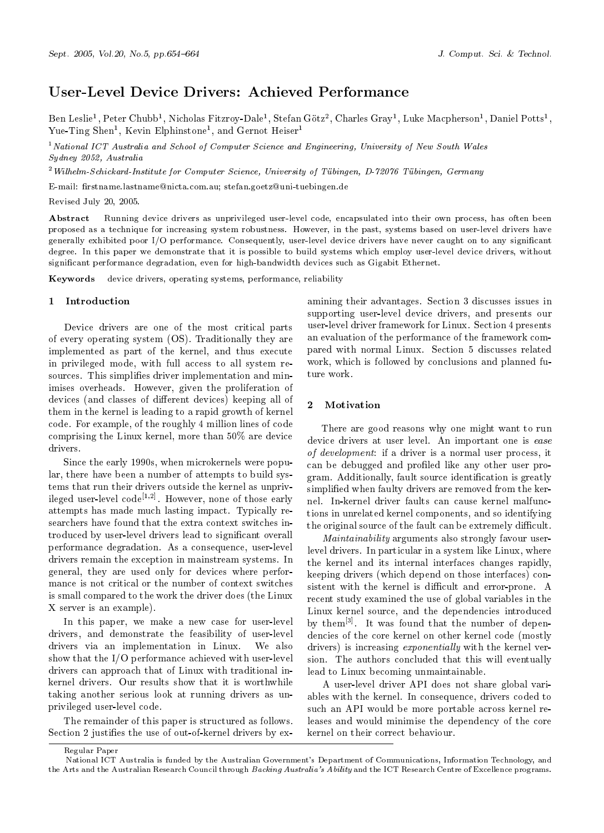# User-Level Device Drivers: Achieved Performance

Ben Leslie<sup>1</sup>, Peter Chubb<sup>1</sup>, Nicholas Fitzroy-Dale<sup>1</sup>, Stefan Götz<sup>2</sup>, Charles Gray<sup>1</sup>, Luke Macpherson<sup>1</sup>, Daniel Potts<sup>1</sup>, Yue-Ting Shen<sup>1</sup>, Kevin Elphinstone<sup>1</sup>, and Gernot Heiser<sup>1</sup>

<sup>1</sup> National ICT Australia and School of Computer Science and Engineering, University of New South Wales Sydney 2052, Australia

<sup>2</sup> Wilhelm-Schickard-Institute for Computer Science, University of Tübingen, D-72076 Tübingen, Germany

E-mail: firstname.lastname@nicta.com.au; stefan.goetz@uni-tuebingen.de

Revised July 20, 2005.

Abstract Running device drivers as unprivileged user-level code, encapsulated into their own process, has often been proposed as a technique for increasing system robustness. However, in the past, systems based on user-level drivers have generally exhibited poor I/O performance. Consequently, user-level device drivers have never caught on to any significant degree. In this paper we demonstrate that it is possible to build systems which employ user-level device drivers, without significant performance degradation, even for high-bandwidth devices such as Gigabit Ethernet.

Keywords device drivers, operating systems, performance, reliability

### 1 Introduction

Device drivers are one of the most critical parts of every operating system (OS). Traditionally they are implemented as part of the kernel, and thus execute in privileged mode, with full access to all system resources. This simplifies driver implementation and minimises overheads. However, given the proliferation of devices (and classes of different devices) keeping all of them in the kernel is leading to a rapid growth of kernel code. For example, of the roughly 4 million lines of code comprising the Linux kernel, more than  $50\%$  are device drivers.

Since the early 1990s, when microkernels were popular, there have been a number of attempts to build systems that run their drivers outside the kernel as unprivileged user-level  $code^{[1,2]}$ . However, none of those early attempts has made much lasting impact. Typically researchers have found that the extra context switches introduced by user-level drivers lead to significant overall performance degradation. As a consequence, user-level drivers remain the exception in mainstream systems. In general, they are used only for devices where performance is not critical or the number of context switches is small compared to the work the driver does (the Linux X server is an example).

In this paper, we make a new case for user-level drivers, and demonstrate the feasibility of user-level drivers via an implementation in Linux. We also show that the  $I/O$  performance achieved with user-level drivers can approach that of Linux with traditional inkernel drivers. Our results show that it is worthwhile taking another serious look at running drivers as unprivileged user-level code.

The remainder of this paper is structured as follows. Section 2 justifies the use of out-of-kernel drivers by ex-

amining their advantages. Section 3 discusses issues in supporting user-level device drivers, and presents our user-level driver framework for Linux. Section 4 presents an evaluation of the performance of the framework compared with normal Linux. Section 5 discusses related work, which is followed by conclusions and planned future work.

### $\overline{2}$ Motivation

There are good reasons why one might want to run device drivers at user level. An important one is ease of development: if a driver is a normal user process, it can be debugged and profiled like any other user program. Additionally, fault source identification is greatly simplified when faulty drivers are removed from the kernel. In-kernel driver faults can cause kernel malfunctions in unrelated kernel components, and so identifying the original source of the fault can be extremely difficult.

*Maintainability* arguments also strongly favour userlevel drivers. In particular in a system like Linux, where the kernel and its internal interfaces changes rapidly, keeping drivers (which depend on those interfaces) consistent with the kernel is difficult and error-prone. A recent study examined the use of global variables in the Linux kernel source, and the dependencies introduced by them<sup>[3]</sup>. It was found that the number of dependencies of the core kernel on other kernel code (mostly drivers) is increasing *exponentially* with the kernel version. The authors concluded that this will eventually lead to Linux becoming unmaintainable.

A user-level driver API does not share global variables with the kernel. In consequence, drivers coded to such an API would be more portable across kernel releases and would minimise the dependency of the core kernel on their correct behaviour.

Regular Paper

National ICT Australia is funded by the Australian Government's Department of Communications, Information Technology, and the Arts and the Australian Research Council through Backing Australia's Ability and the ICT Research Centre of Excellence programs.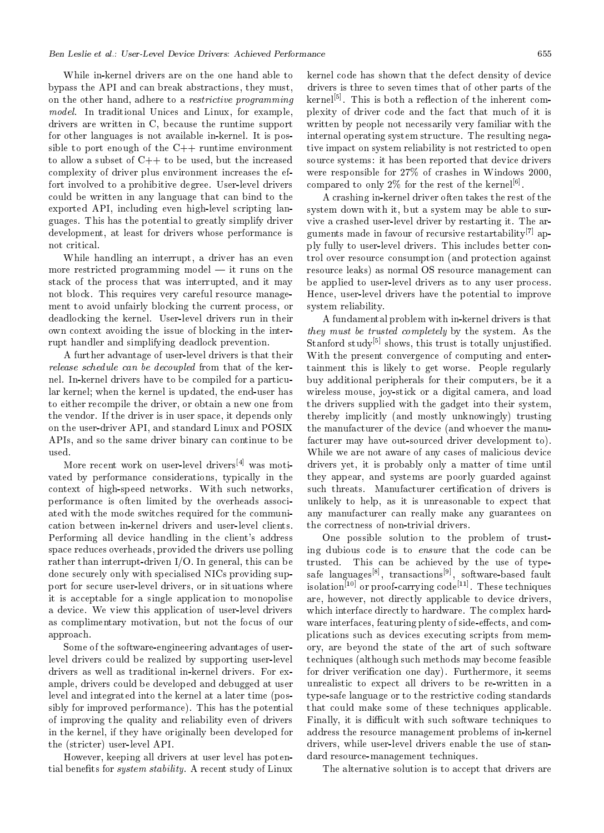While in-kernel drivers are on the one hand able to bypass the API and can break abstractions, they must, on the other hand, adhere to a *restrictive programming* model. In traditional Unices and Linux, for example, drivers are written in C, because the runtime support for other languages is not available in-kernel. It is possible to port enough of the  $C++$  runtime environment to allow a subset of  $C++$  to be used, but the increased complexity of driver plus environment increases the effort involved to a prohibitive degree. User-level drivers could be written in any language that can bind to the exported API, including even high-level scripting languages. This has the potential to greatly simplify driver development, at least for drivers whose performance is not critical.

While handling an interrupt, a driver has an even more restricted programming model  $-$  it runs on the stack of the process that was interrupted, and it may not block. This requires very careful resource management to avoid unfairly blocking the current process, or deadlocking the kernel. User-level drivers run in their own context avoiding the issue of blocking in the interrupt handler and simplifying deadlock prevention.

A further advantage of user-level drivers is that their release schedule can be decoupled from that of the kernel. In-kernel drivers have to be compiled for a particular kernel; when the kernel is updated, the end-user has to either recompile the driver, or obtain a new one from the vendor. If the driver is in user space, it depends only on the user-driver API, and standard Linux and POSIX APIs, and so the same driver binary can continue to be used.

More recent work on user-level drivers<sup>[4]</sup> was motivated by performance considerations, typically in the context of high-speed networks. With such networks, performance is often limited by the overheads associated with the mode switches required for the communication between in-kernel drivers and user-level clients. Performing all device handling in the client's address space reduces overheads, provided the drivers use polling rather than interrupt-driven  $I/O$ . In general, this can be done securely only with specialised NICs providing support for secure user-level drivers, or in situations where it is acceptable for a single application to monopolise a device. We view this application of user-level drivers as complimentary motivation, but not the focus of our approach.

Some of the software engineering advantages of userlevel drivers could be realized by supporting user-level drivers as well as traditional in-kernel drivers. For example, drivers could be developed and debugged at user level and integrated into the kernel at a later time (possibly for improved performance). This has the potential of improving the quality and reliability even of drivers in the kernel, if they have originally been developed for the (stricter) user-level API.

However, keeping all drivers at user level has potential benefits for *system stability*. A recent study of Linux

kernel code has shown that the defect density of device drivers is three to seven times that of other parts of the kernel<sup>[5]</sup>. This is both a reflection of the inherent complexity of driver code and the fact that much of it is written by people not necessarily very familiar with the internal operating system structure. The resulting negative impact on system reliability is not restricted to open source systems: it has been reported that device drivers were responsible for 27% of crashes in Windows 2000, compared to only 2% for the rest of the kernel<sup>[6]</sup>.

A crashing in-kernel driver often takes the rest of the system down with it, but a system may be able to survive a crashed user-level driver by restarting it. The arguments made in favour of recursive restartability<sup>[7]</sup> apply fully to user-level drivers. This includes better control over resource consumption (and protection against resource leaks) as normal OS resource management can be applied to user-level drivers as to any user process. Hence, user-level drivers have the potential to improve system reliability.

A fundamental problem with in-kernel drivers is that they must be trusted completely by the system. As the Stanford study<sup>[5]</sup> shows, this trust is totally unjustified. With the present convergence of computing and entertainment this is likely to get worse. People regularly buy additional peripherals for their computers, be it a wireless mouse, joy-stick or a digital camera, and load the drivers supplied with the gadget into their system, thereby implicitly (and mostly unknowingly) trusting the manufacturer of the device (and whoever the manufacturer may have out-sourced driver development to). While we are not aware of any cases of malicious device drivers yet, it is probably only a matter of time until they appear, and systems are poorly guarded against such threats. Manufacturer certification of drivers is unlikely to help, as it is unreasonable to expect that any manufacturer can really make any guarantees on the correctness of non-trivial drivers.

One possible solution to the problem of trusting dubious code is to ensure that the code can be trusted. This can be achieved by the use of typesafe languages<sup>[8]</sup>, transactions<sup>[9]</sup>, software-based fault isolation<sup>[10]</sup> or proof-carrying code<sup>[11]</sup>. These techniques are, however, not directly applicable to device drivers, which interface directly to hardware. The complex hardware interfaces, featuring plenty of side effects, and complications such as devices executing scripts from memory, are beyond the state of the art of such software techniques (although such methods may become feasible for driver verification one day). Furthermore, it seems unrealistic to expect all drivers to be re-written in a type safe language or to the restrictive coding standards that could make some of these techniques applicable. Finally, it is difficult with such software techniques to address the resource management problems of in-kernel drivers, while user-level drivers enable the use of standard resource-management techniques.

The alternative solution is to accept that drivers are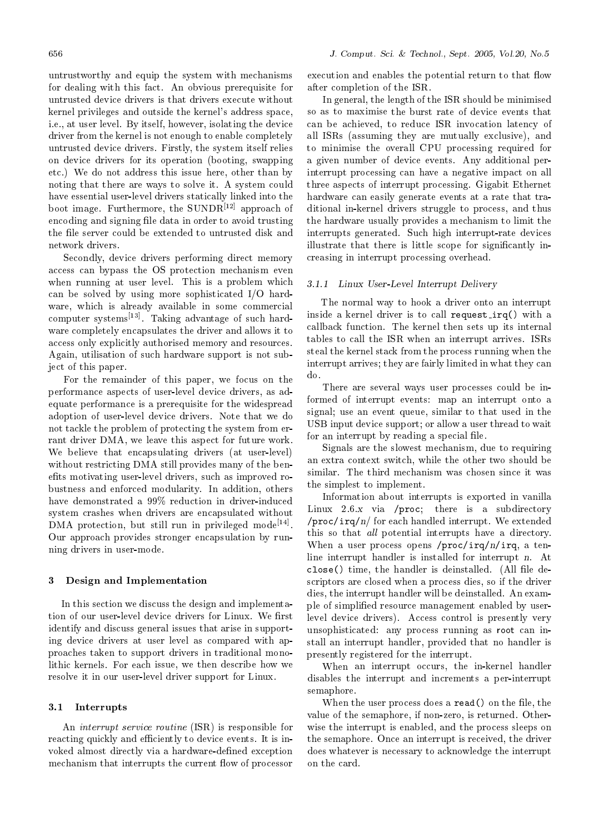untrustworthy and equip the system with mechanisms for dealing with this fact. An obvious prerequisite for untrusted device drivers is that drivers execute without kernel privileges and outside the kernel's address space, i.e., at user level. By itself, however, isolating the device driver from the kernel is not enough to enable completely untrusted device drivers. Firstly, the system itself relies on device drivers for its operation (booting, swapping etc.) We do not address this issue here, other than by noting that there are ways to solve it. A system could have essential user-level drivers statically linked into the boot image. Furthermore, the  $\text{SUNDR}^{[12]}$  approach of encoding and signing file data in order to avoid trusting the file server could be extended to untrusted disk and network drivers.

Secondly, device drivers performing direct memory access can bypass the OS protection mechanism even when running at user level. This is a problem which can be solved by using more sophisticated  $I/O$  hardware, which is already available in some commercial computer systems<sup>[13]</sup>. Taking advantage of such hardware completely encapsulates the driver and allows it to access only explicitly authorised memory and resources. Again, utilisation of such hardware support is not subject of this paper.

For the remainder of this paper, we focus on the performance aspects of user-level device drivers, as adequate performance is a prerequisite for the widespread adoption of user-level device drivers. Note that we do not tackle the problem of protecting the system from errant driver DMA, we leave this aspect for future work. We believe that encapsulating drivers (at user-level) without restricting DMA still provides many of the benefits motivating user-level drivers, such as improved robustness and enforced modularity. In addition, others have demonstrated a 99% reduction in driver-induced system crashes when drivers are encapsulated without DMA protection, but still run in privileged mode<sup>[14]</sup>. Our approach provides stronger encapsulation by running drivers in user-mode.

#### $\bf{3}$ Design and Implementation

In this section we discuss the design and implementation of our user-level device drivers for Linux. We first identify and discuss general issues that arise in supporting device drivers at user level as compared with approaches taken to support drivers in traditional monolithic kernels. For each issue, we then describe how we resolve it in our user-level driver support for Linux.

### 3.1 Interrupts

An *interrupt service routine* (ISR) is responsible for reacting quickly and efficiently to device events. It is invoked almost directly via a hardware-defined exception mechanism that interrupts the current flow of processor

execution and enables the potential return to that flow after completion of the ISR.

In general, the length of the ISR should be minimised so as to maximise the burst rate of device events that can be achieved, to reduce ISR invocation latency of all ISRs (assuming they are mutually exclusive), and to minimise the overall CPU processing required for a given number of device events. Any additional perinterrupt processing can have a negative impact on all three aspects of interrupt processing. Gigabit Ethernet hardware can easily generate events at a rate that traditional in-kernel drivers struggle to process, and thus the hardware usually provides a mechanism to limit the interrupts generated. Such high interrupt-rate devices illustrate that there is little scope for significantly increasing in interrupt processing overhead.

### 3.1.1 Linux User-Level Interrupt Delivery

The normal way to hook a driver onto an interrupt inside a kernel driver is to call request irq() with a callback function. The kernel then sets up its internal tables to call the ISR when an interrupt arrives. ISRs steal the kernel stack from the process running when the interrupt arrives; they are fairly limited in what they can do.

There are several ways user processes could be informed of interrupt events: map an interrupt onto a signal; use an event queue, similar to that used in the USB input device support; or allow a user thread to wait for an interrupt by reading a special file.

Signals are the slowest mechanism, due to requiring an extra context switch, while the other two should be similar. The third mechanism was chosen since it was the simplest to implement.

Information about interrupts is exported in vanilla Linux 2.6.x via /proc; there is a subdirectory  $\pi$  /proc/irq/n/ for each handled interrupt. We extended this so that all potential interrupts have a directory. When a user process opens /proc/irq/n/irq, a tenline interrupt handler is installed for interrupt n. At close () time, the handler is deinstalled. (All file descriptors are closed when a process dies, so if the driver dies, the interrupt handler will be deinstalled. An example of simplified resource management enabled by userlevel device drivers). Access control is presently very unsophisticated: any process running as root can install an interrupt handler, provided that no handler is presently registered for the interrupt.

When an interrupt occurs, the in-kernel handler disables the interrupt and increments a per-interrupt semaphore.

When the user process does a read () on the file, the value of the semaphore, if non-zero, is returned. Otherwise the interrupt is enabled, and the process sleeps on the semaphore. Once an interrupt is received, the driver does whatever is necessary to acknowledge the interrupt on the card.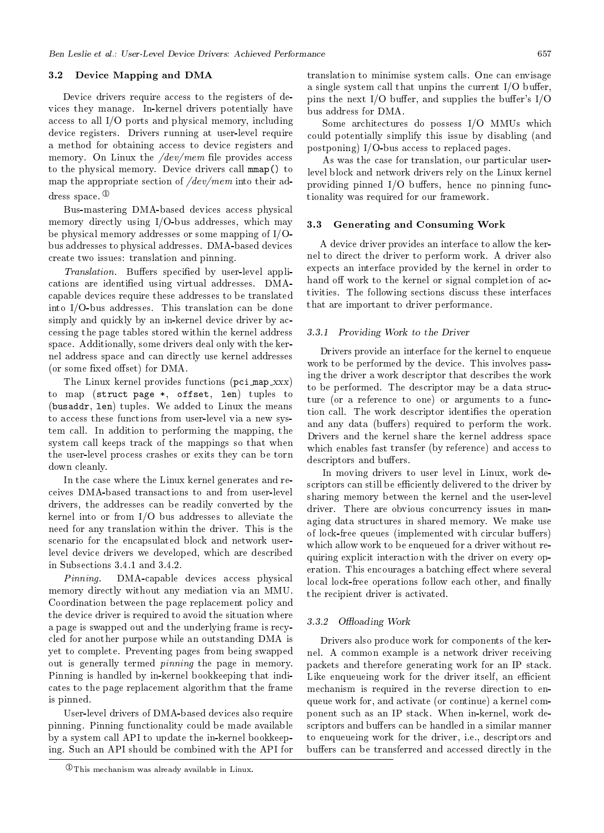#### Device Mapping and DMA  $3.2\,$

Device drivers require access to the registers of devices they manage. In-kernel drivers potentially have access to all  $I/O$  ports and physical memory, including device registers. Drivers running at user-level require a method for obtaining access to device registers and memory. On Linux the  $dev/mem$  file provides access to the physical memory. Device drivers call mmap() to map the appropriate section of  $/dev/mem$  into their address space.  $\Phi$ 

Bus-mastering DMA-based devices access physical memory directly using I/O-bus addresses, which may be physical memory addresses or some mapping of  $I/O$ bus addresses to physical addresses. DMA-based devices create two issues: translation and pinning.

*Translation.* Buffers specified by user-level applications are identified using virtual addresses. DMAcapable devices require these addresses to be translated into I/O-bus addresses. This translation can be done simply and quickly by an in-kernel device driver by accessing the page tables stored within the kernel address space. Additionally, some drivers deal only with the kernel address space and can directly use kernel addresses (or some fixed offset) for DMA.

The Linux kernel provides functions (pci\_map\_xxx) to map (struct page \*, offset, len) tuples to (busaddr, len) tuples. We added to Linux the means to access these functions from user-level via a new system call. In addition to performing the mapping, the system call keeps track of the mappings so that when the user-level process crashes or exits they can be torn down cleanly.

In the case where the Linux kernel generates and receives DMA-based transactions to and from user-level drivers, the addresses can be readily converted by the kernel into or from  $I/O$  bus addresses to alleviate the need for any translation within the driver. This is the scenario for the encapsulated block and network userlevel device drivers we developed, which are described in Subsections 3.4.1 and 3.4.2.

 $Pinnina$ DMA-capable devices access physical memory directly without any mediation via an MMU. Coordination between the page replacement policy and the device driver is required to avoid the situation where a page is swapped out and the underlying frame is recycled for another purpose while an outstanding DMA is yet to complete. Preventing pages from being swapped out is generally termed *pinning* the page in memory. Pinning is handled by in-kernel bookkeeping that indicates to the page replacement algorithm that the frame is pinned.

User-level drivers of DMA-based devices also require pinning. Pinning functionality could be made available by a system call API to update the in-kernel bookkeeping. Such an API should be combined with the API for

 $\Phi$ This mechanism was already available in Linux.

translation to minimise system calls. One can envisage a single system call that unpins the current  $I/O$  buffer, pins the next I/O buffer, and supplies the buffer's  $I/O$ bus address for DMA.

Some architectures do possess I/O MMUs which could potentially simplify this issue by disabling (and postponing)  $I/O$ -bus access to replaced pages.

As was the case for translation, our particular userlevel block and network drivers rely on the Linux kernel providing pinned I/O buffers, hence no pinning functionality was required for our framework.

#### 3.3 **Generating and Consuming Work**

A device driver provides an interface to allow the kernel to direct the driver to perform work. A driver also expects an interface provided by the kernel in order to hand off work to the kernel or signal completion of activities. The following sections discuss these interfaces that are important to driver performance.

### 3.3.1 Providing Work to the Driver

Drivers provide an interface for the kernel to enqueue work to be performed by the device. This involves passing the driver a work descriptor that describes the work to be performed. The descriptor may be a data structure (or a reference to one) or arguments to a function call. The work descriptor identifies the operation and any data (buffers) required to perform the work. Drivers and the kernel share the kernel address space which enables fast transfer (by reference) and access to descriptors and buffers.

In moving drivers to user level in Linux, work descriptors can still be efficiently delivered to the driver by sharing memory between the kernel and the user-level driver. There are obvious concurrency issues in managing data structures in shared memory. We make use of lock-free queues (implemented with circular buffers) which allow work to be enqueued for a driver without requiring explicit interaction with the driver on every operation. This encourages a batching effect where several local lock-free operations follow each other, and finally the recipient driver is activated.

### 3.3.2 Offloading Work

Drivers also produce work for components of the kernel. A common example is a network driver receiving packets and therefore generating work for an IP stack. Like enqueueing work for the driver itself, an efficient mechanism is required in the reverse direction to enqueue work for, and activate (or continue) a kernel component such as an IP stack. When in-kernel, work descriptors and buffers can be handled in a similar manner to enqueueing work for the driver, i.e., descriptors and buffers can be transferred and accessed directly in the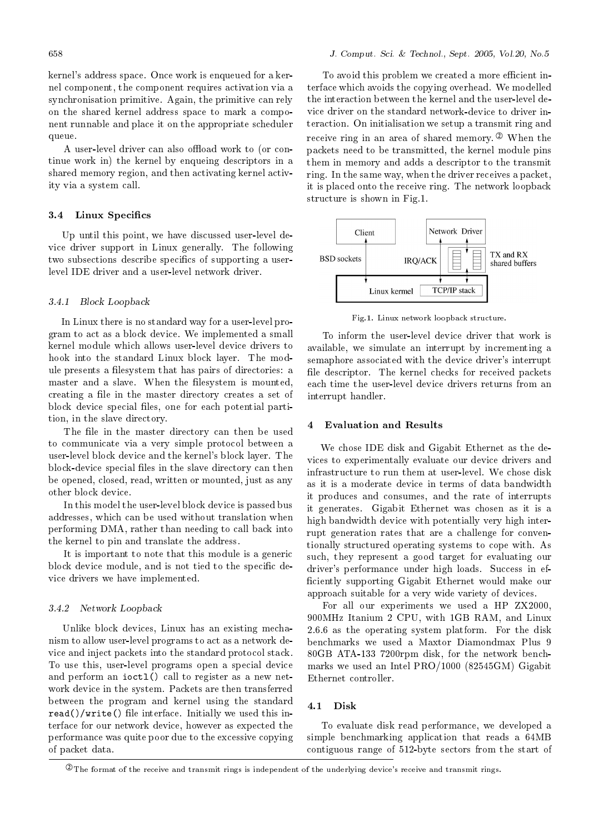kernel's address space. Once work is enqueued for a kernel component, the component requires activation via a synchronisation primitive. Again, the primitive can rely on the shared kernel address space to mark a component runnable and place it on the appropriate scheduler queue.

A user-level driver can also offload work to (or continue work in the kernel by enqueing descriptors in a shared memory region, and then activating kernel activity via a system call.

#### $3.4$ Linux Specifics

Up until this point, we have discussed user-level device driver support in Linux generally. The following two subsections describe specifics of supporting a userlevel IDE driver and a user-level network driver.

### 3.4.1 Block Loopback

In Linux there is no standard way for a user-level program to act as a block device. We implemented a small kernel module which allows user-level device drivers to hook into the standard Linux block layer. The module presents a filesystem that has pairs of directories: a master and a slave. When the filesystem is mounted, creating a file in the master directory creates a set of block device special files, one for each potential partition, in the slave directory.

The file in the master directory can then be used to communicate via a very simple protocol between a user-level block device and the kernel's block layer. The block-device special files in the slave directory can then be opened, closed, read, written or mounted, just as any other block device.

In this model the user-level block device is passed bus addresses, which can be used without translation when performing DMA, rather than needing to call back into the kernel to pin and translate the address.

It is important to note that this module is a generic block device module, and is not tied to the specific device drivers we have implemented.

### 3.4.2 Network Loopback

Unlike block devices, Linux has an existing mechanism to allow user-level programs to act as a network device and inject packets into the standard protocol stack. To use this, user-level programs open a special device and perform an ioctl() call to register as a new network device in the system. Packets are then transferred between the program and kernel using the standard read ()/write () file interface. Initially we used this interface for our network device, however as expected the performance was quite poor due to the excessive copying of packet data.

To avoid this problem we created a more efficient interface which avoids the copying overhead. We modelled the interaction between the kernel and the user-level device driver on the standard network-device to driver interaction. On initialisation we setup a transmit ring and receive ring in an area of shared memory.  $\mathcal{D}$  When the packets need to be transmitted, the kernel module pins them in memory and adds a descriptor to the transmit ring. In the same way, when the driver receives a packet, it is placed onto the receive ring. The network loopback structure is shown in Fig.1.



Fig.1. Linux network loopback structure.

To inform the user-level device driver that work is available, we simulate an interrupt by incrementing a semaphore associated with the device driver's interrupt file descriptor. The kernel checks for received packets each time the user-level device drivers returns from an interrupt handler.

### $\overline{4}$ **Evaluation and Results**

We chose IDE disk and Gigabit Ethernet as the devices to experimentally evaluate our device drivers and infrastructure to run them at user-level. We chose disk as it is a moderate device in terms of data bandwidth it produces and consumes, and the rate of interrupts it generates. Gigabit Ethernet was chosen as it is a high bandwidth device with potentially very high interrupt generation rates that are a challenge for conventionally structured operating systems to cope with. As such, they represent a good target for evaluating our driver's performance under high loads. Success in efficiently supporting Gigabit Ethernet would make our approach suitable for a very wide variety of devices.

For all our experiments we used a HP ZX2000, 900MHz Itanium 2 CPU, with 1GB RAM, and Linux 2.6.6 as the operating system platform. For the disk benchmarks we used a Maxtor Diamondmax Plus 9 80GB ATA-133 7200rpm disk, for the network benchmarks we used an Intel PRO/1000 (82545GM) Gigabit Ethernet controller.

## 4.1 Disk

To evaluate disk read performance, we developed a simple benchmarking application that reads a 64MB contiguous range of 512-byte sectors from the start of

 $\circledast$  The format of the receive and transmit rings is independent of the underlying device's receive and transmit rings.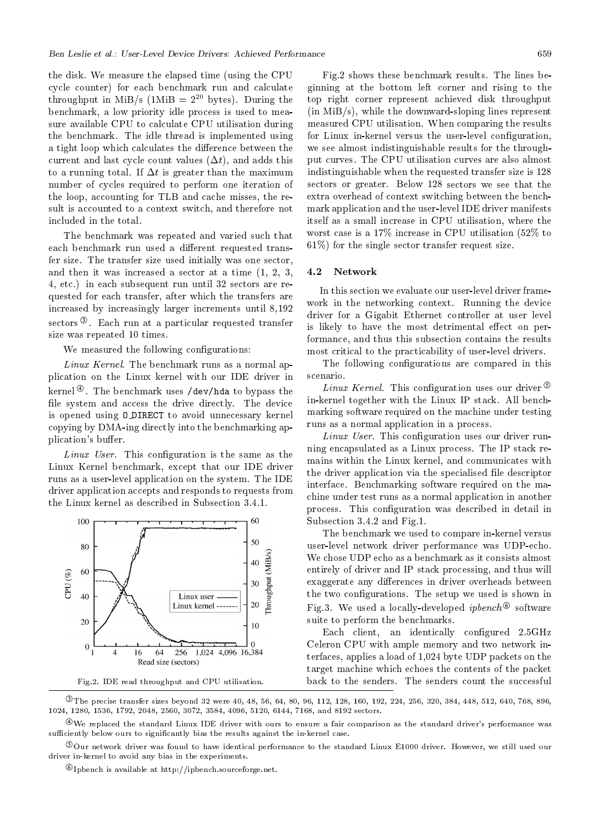the disk. We measure the elapsed time (using the CPU cycle counter) for each benchmark run and calculate throughput in MiB/s (1MiB =  $2^{20}$  bytes). During the benchmark, a low priority idle process is used to measure available CPU to calculate CPU utilisation during the benchmark. The idle thread is implemented using a tight loop which calculates the difference between the current and last cycle count values  $(\Delta t)$ , and adds this to a running total. If  $\Delta t$  is greater than the maximum number of cycles required to perform one iteration of the loop, accounting for TLB and cache misses, the result is accounted to a context switch, and therefore not included in the total.

The benchmark was repeated and varied such that each benchmark run used a different requested transfer size. The transfer size used initially was one sector, and then it was increased a sector at a time  $(1, 2, 3, ...)$ 4, etc.) in each subsequent run until 32 sectors are requested for each transfer, after which the transfers are increased by increasingly larger increments until 8,192 sectors<sup>3</sup>. Each run at a particular requested transfer size was repeated 10 times.

We measured the following configurations:

Linux Kernel. The benchmark runs as a normal application on the Linux kernel with our IDE driver in kernel  $\Phi$ . The benchmark uses /dev/hda to bypass the file system and access the drive directly. The device is opened using O DIRECT to avoid unnecessary kernel copying by DMA-ing directly into the benchmarking application's buffer.

*Linux User.* This configuration is the same as the Linux Kernel benchmark, except that our IDE driver runs as a user-level application on the system. The IDE driver application accepts and responds to requests from the Linux kernel as described in Subsection 3.4.1.



Fig.2. IDE read throughput and CPU utilisation.

Fig.2 shows these benchmark results. The lines beginning at the bottom left corner and rising to the top right corner represent achieved disk throughput  $(in MiB/s)$ , while the downward-sloping lines represent measured CPU utilisation. When comparing the results for Linux in-kernel versus the user-level configuration, we see almost indistinguishable results for the throughput curves. The CPU utilisation curves are also almost indistinguishable when the requested transfer size is 128 sectors or greater. Below 128 sectors we see that the extra overhead of context switching between the benchmark application and the user-level IDE driver manifests itself as a small increase in CPU utilisation, where the worst case is a  $17\%$  increase in CPU utilisation (52\%) to  $61\%$ ) for the single sector transfer request size.

#### $4.2$ Network

In this section we evaluate our user-level driver framework in the networking context. Running the device driver for a Gigabit Ethernet controller at user level is likely to have the most detrimental effect on performance, and thus this subsection contains the results most critical to the practicability of user-level drivers.

The following configurations are compared in this scenario.

*Linux Kernel.* This configuration uses our driver  $\circled{S}$ in-kernel together with the Linux IP stack. All benchmarking software required on the machine under testing runs as a normal application in a process.

Linux User. This configuration uses our driver running encapsulated as a Linux process. The IP stack remains within the Linux kernel, and communicates with the driver application via the specialised file descriptor interface. Benchmarking software required on the machine under test runs as a normal application in another process. This configuration was described in detail in Subsection 3.4.2 and Fig.1.

The benchmark we used to compare in-kernel versus user-level network driver performance was UDP-echo. We chose UDP echo as a benchmark as it consists almost entirely of driver and IP stack processing, and thus will exaggerate any differences in driver overheads between the two configurations. The setup we used is shown in Fig.3. We used a locally-developed *ipbench*<sup> $\circledcirc$ </sup> software suite to perform the benchmarks.

Each client, an identically configured 2.5GHz Celeron CPU with ample memory and two network interfaces, applies a load of 1,024 byte UDP packets on the target machine which echoes the contents of the packet back to the senders. The senders count the successful

The precise transfer sizes beyond 32 were 40, 48, 56, 64, 80, 96, 112, 128, 160, 192, 224, 256, 320, 384, 448, 512, 640, 768, 896, 1024, 1280, 1536, 1792, 2048, 2560, 3072, 3584, 4096, 5120, 6144, 7168, and 8192 sectors.

 $\mathcal{L}_{W}$  replaced the standard Linux IDE driver with ours to ensure a fair comparison as the standard driver's performance was sufficiently below ours to significantly bias the results against the in-kernel case.

Our network driver was found to have identical performance to the standard Linux E1000 driver. However, we still used our driver in-kernel to avoid any bias in the experiments.

 $\mathcal{O}_{\text{Iphench}}$  is available at http://ipbench.sourceforge.net.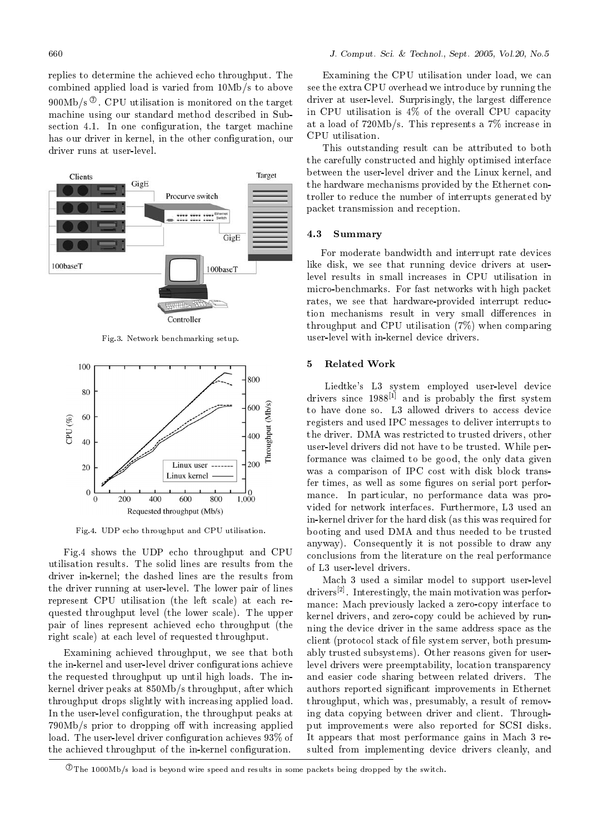replies to determine the achieved echo throughput. The combined applied load is varied from 10Mb/s to above  $900Mb/s^{\circ}$ . CPU utilisation is monitored on the target machine using our standard method described in Subsection 4.1. In one configuration, the target machine has our driver in kernel, in the other configuration, our driver runs at user-level.



Fig.3. Network benchmarking setup.



Fig.4. UDP echo throughput and CPU utilisation.

Fig.4 shows the UDP echo throughput and CPU utilisation results. The solid lines are results from the driver in-kernel; the dashed lines are the results from the driver running at user-level. The lower pair of lines represent CPU utilisation (the left scale) at each requested throughput level (the lower scale). The upper pair of lines represent achieved echo throughput (the right scale) at each level of requested throughput.

Examining achieved throughput, we see that both the in-kernel and user-level driver configurations achieve the requested throughput up until high loads. The inkernel driver peaks at 850Mb/s throughput, after which throughput drops slightly with increasing applied load. In the user-level configuration, the throughput peaks at 790Mb/s prior to dropping off with increasing applied load. The user-level driver configuration achieves 93\% of the achieved throughput of the in-kernel configuration.

Examining the CPU utilisation under load, we can see the extra CPU overhead we introduce by running the driver at user-level. Surprisingly, the largest difference in CPU utilisation is 4% of the overall CPU capacity at a load of  $720Mb/s$ . This represents a  $7\%$  increase in CPU utilisation.

This outstanding result can be attributed to both the carefully constructed and highly optimised interface between the user-level driver and the Linux kernel, and the hardware mechanisms provided by the Ethernet controller to reduce the number of interrupts generated by packet transmission and reception.

#### $4.3$ **Summary**

For moderate bandwidth and interrupt rate devices like disk, we see that running device drivers at userlevel results in small increases in CPU utilisation in micro-benchmarks. For fast networks with high packet rates, we see that hardware-provided interrupt reduction mechanisms result in very small differences in throughput and CPU utilisation  $(7%)$  when comparing user-level with in-kernel device drivers.

#### $\overline{5}$ **Related Work**

Liedtke's L3 system employed user-level device drivers since  $1988^{[1]}$  and is probably the first system to have done so. L3 allowed drivers to access device registers and used IPC messages to deliver interrupts to the driver. DMA was restricted to trusted drivers, other user-level drivers did not have to be trusted. While performance was claimed to be good, the only data given was a comparison of IPC cost with disk block transfer times, as well as some figures on serial port performance. In particular, no performance data was provided for network interfaces. Furthermore, L3 used an in-kernel driver for the hard disk (as this was required for booting and used DMA and thus needed to be trusted anyway). Consequently it is not possible to draw any conclusions from the literature on the real performance of L3 user-level drivers.

Mach 3 used a similar model to support user-level  $drivers^{[2]}$ . Interestingly, the main motivation was performance: Mach previously lacked a zero-copy interface to kernel drivers, and zero-copy could be achieved by running the device driver in the same address space as the client (protocol stack of file system server, both presumably trusted subsystems). Other reasons given for userlevel drivers were preemptability, location transparency and easier code sharing between related drivers. The authors reported significant improvements in Ethernet throughput, which was, presumably, a result of removing data copying between driver and client. Throughput improvements were also reported for SCSI disks. It appears that most performance gains in Mach 3 resulted from implementing device drivers cleanly, and

 $\mathcal{D}_{\text{The 1000Mb/s load}$  is beyond wire speed and results in some packets being dropped by the switch.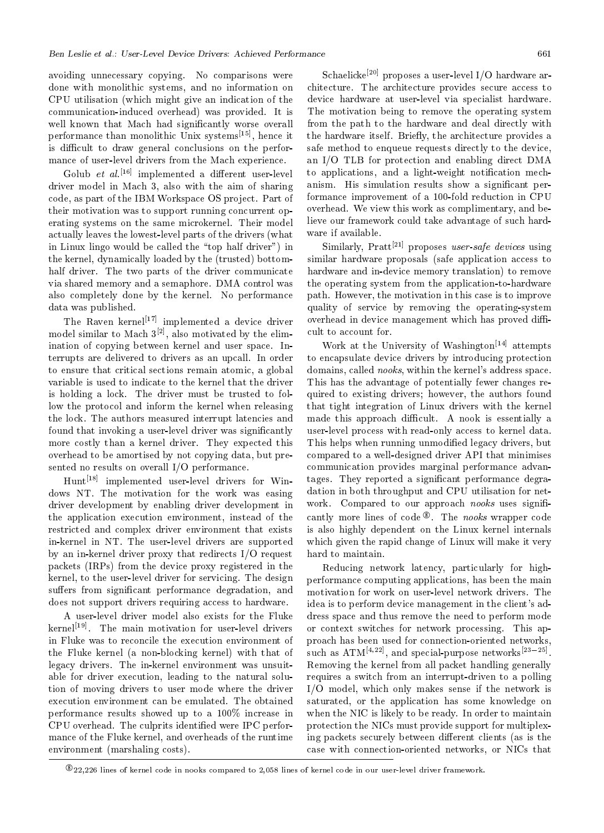avoiding unnecessary copying. No comparisons were done with monolithic systems, and no information on CPU utilisation (which might give an indication of the communication-induced overhead) was provided. It is well known that Mach had significantly worse overall performance than monolithic Unix systems  $[15]$ , hence it is difficult to draw general conclusions on the performance of user-level drivers from the Mach experience.

Golub et  $al.$ <sup>[16]</sup> implemented a different user-level driver model in Mach 3, also with the aim of sharing code, as part of the IBM Workspace OS project. Part of their motivation was to support running concurrent operating systems on the same microkernel. Their model actually leaves the lowest-level parts of the drivers (what in Linux lingo would be called the "top half driver") in the kernel, dynamically loaded by the (trusted) bottomhalf driver. The two parts of the driver communicate via shared memory and a semaphore. DMA control was also completely done by the kernel. No performance data was published.

The Raven kernel<sup>[17]</sup> implemented a device driver model similar to Mach  $3^{[2]}$ , also motivated by the elimination of copying between kernel and user space. Interrupts are delivered to drivers as an upcall. In order to ensure that critical sections remain atomic, a global variable is used to indicate to the kernel that the driver is holding a lock. The driver must be trusted to follow the protocol and inform the kernel when releasing the lock. The authors measured interrupt latencies and found that invoking a user-level driver was significantly more costly than a kernel driver. They expected this overhead to be amortised by not copying data, but presented no results on overall I/O performance.

Hunt<sup>[18]</sup> implemented user-level drivers for Windows NT. The motivation for the work was easing driver development by enabling driver development in the application execution environment, instead of the restricted and complex driver environment that exists in-kernel in NT. The user-level drivers are supported by an in-kernel driver proxy that redirects  $I/O$  request packets (IRPs) from the device proxy registered in the kernel, to the user-level driver for servicing. The design suffers from significant performance degradation, and does not support drivers requiring access to hardware.

A user-level driver model also exists for the Fluke kernel<sup>[19]</sup>. The main motivation for user-level drivers in Fluke was to reconcile the execution environment of the Fluke kernel (a non-blocking kernel) with that of legacy drivers. The in-kernel environment was unsuitable for driver execution, leading to the natural solution of moving drivers to user mode where the driver execution environment can be emulated. The obtained performance results showed up to a  $100\%$  increase in CPU overhead. The culprits identified were IPC performance of the Fluke kernel, and overheads of the runtime environment (marshaling costs).

Schaelicke<sup>[20]</sup> proposes a user-level I/O hardware architecture. The architecture provides secure access to device hardware at user-level via specialist hardware. The motivation being to remove the operating system from the path to the hardware and deal directly with the hardware itself. Briefly, the architecture provides a safe method to enqueue requests directly to the device, an I/O TLB for protection and enabling direct DMA to applications, and a light-weight notification mechanism. His simulation results show a significant performance improvement of a 100-fold reduction in CPU overhead. We view this work as complimentary, and believe our framework could take advantage of such hardware if available.

Similarly,  $Pratt^{[21]}$  proposes user-safe devices using similar hardware proposals (safe application access to hardware and in-device memory translation) to remove the operating system from the application-to-hardware path. However, the motivation in this case is to improve quality of service by removing the operating-system overhead in device management which has proved difficult to account for.

Work at the University of Washington<sup>[14]</sup> attempts to encapsulate device drivers by introducing protection domains, called nooks, within the kernel's address space. This has the advantage of potentially fewer changes required to existing drivers; however, the authors found that tight integration of Linux drivers with the kernel made this approach difficult. A nook is essentially a user-level process with read-only access to kernel data. This helps when running unmodified legacy drivers, but compared to a well-designed driver API that minimises communication provides marginal performance advantages. They reported a significant performance degradation in both throughput and CPU utilisation for network. Compared to our approach nooks uses significantly more lines of code  $\mathcal{F}$ . The nooks wrapper code is also highly dependent on the Linux kernel internals which given the rapid change of Linux will make it very hard to maintain.

Reducing network latency, particularly for highperformance computing applications, has been the main motivation for work on user-level network drivers. The idea is to perform device management in the client's address space and thus remove the need to perform mode or context switches for network processing. This approach has been used for connection-oriented networks, such as ATM<sup>[4,22]</sup>, and special-purpose networks<sup>[23-25]</sup>. Removing the kernel from all packet handling generally requires a switch from an interrupt-driven to a polling I/O model, which only makes sense if the network is saturated, or the application has some knowledge on when the NIC is likely to be ready. In order to maintain protection the NICs must provide support for multiplexing packets securely between different clients (as is the case with connection-oriented networks, or NICs that

 $\frac{\textcircled{8}}{22,226}$  lines of kernel code in nooks compared to 2,058 lines of kernel code in our user-level driver framework.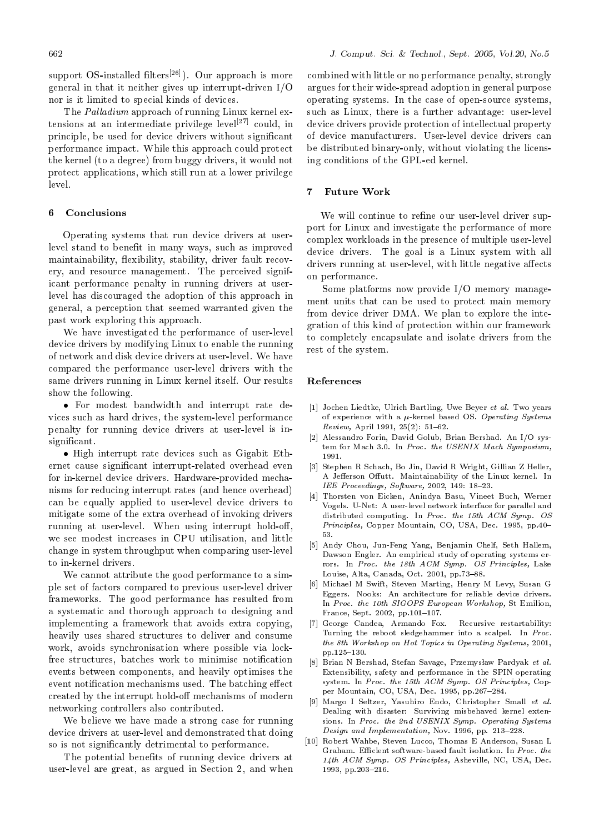support OS-installed filters $[26]$ ). Our approach is more general in that it neither gives up interrupt-driven  $I/O$ nor is it limited to special kinds of devices.

The *Palladium* approach of running Linux kernel extensions at an intermediate privilege level<sup>[27]</sup> could, in principle, be used for device drivers without significant performance impact. While this approach could protect the kernel (to a degree) from buggy drivers, it would not protect applications, which still run at a lower privilege level.

#### 6 Conclusions

Operating systems that run device drivers at userlevel stand to benefit in many ways, such as improved maintainability, flexibility, stability, driver fault recovery, and resource management. The perceived significant performance penalty in running drivers at userlevel has discouraged the adoption of this approach in general, a perception that seemed warranted given the past work exploring this approach.

We have investigated the performance of user-level device drivers by modifying Linux to enable the running of network and disk device drivers at user-level. We have compared the performance user-level drivers with the same drivers running in Linux kernel itself. Our results show the following.

• For modest bandwidth and interrupt rate devices such as hard drives, the system-level performance penalty for running device drivers at user-level is insignificant.

• High interrupt rate devices such as Gigabit Ethernet cause significant interrupt-related overhead even for in-kernel device drivers. Hardware-provided mechanisms for reducing interrupt rates (and hence overhead) can be equally applied to user-level device drivers to mitigate some of the extra overhead of invoking drivers running at user-level. When using interrupt hold-off, we see modest increases in CPU utilisation, and little change in system throughput when comparing user-level to in-kernel drivers.

We cannot attribute the good performance to a simple set of factors compared to previous user-level driver frameworks. The good performance has resulted from a systematic and thorough approach to designing and implementing a framework that avoids extra copying, heavily uses shared structures to deliver and consume work, avoids synchronisation where possible via lockfree structures, batches work to minimise notification events between components, and heavily optimises the event notification mechanisms used. The batching effect created by the interrupt hold-off mechanisms of modern networking controllers also contributed.

We believe we have made a strong case for running device drivers at user-level and demonstrated that doing so is not significantly detrimental to performance.

The potential benefits of running device drivers at user-level are great, as argued in Section 2, and when

combined with little or no performance penalty, strongly argues for their wide-spread adoption in general purpose operating systems. In the case of open-source systems, such as Linux, there is a further advantage: user-level device drivers provide protection of intellectual property of device manufacturers. User-level device drivers can be distributed binary-only, without violating the licensing conditions of the GPL-ed kernel.

### **Future Work**  $\overline{7}$

We will continue to refine our user-level driver support for Linux and investigate the performance of more complex workloads in the presence of multiple user-level device drivers. The goal is a Linux system with all drivers running at user-level, with little negative affects on performance.

Some platforms now provide I/O memory management units that can be used to protect main memory from device driver DMA. We plan to explore the integration of this kind of protection within our framework to completely encapsulate and isolate drivers from the rest of the system.

### References

- [1] Jochen Liedtke, Ulrich Bartling, Uwe Beyer et al. Two years of experience with a  $\mu$ -kernel based OS. Operating Systems Review, April 1991, 25(2): 51-62.
- [2] Alessandro Forin, David Golub, Brian Bershad. An I/O system for Mach 3.0. In Proc. the USENIX Mach Symposium, 1991.
- [3] Stephen R Schach, Bo Jin, David R Wright, Gillian Z Heller, A Jefferson Offutt. Maintainability of the Linux kernel. In IEE Proceedings, Software, 2002, 149: 18-23.
- [4] Thorsten von Eicken, Anindya Basu, Vineet Buch, Werner Vogels. U-Net: A user-level network interface for parallel and distributed computing. In Proc. the 15th ACM Symp. OS Principles, Copper Mountain, CO, USA, Dec. 1995, pp.40-53.
- [5] Andy Chou, Jun-Feng Yang, Benjamin Chelf, Seth Hallem, Dawson Engler. An empirical study of operating systems errors. In Proc. the 18th ACM Symp. OS Principles, Lake Louise, Alta, Canada, Oct. 2001, pp.73-88.
- [6] Michael M Swift, Steven Marting, Henry M Levy, Susan G Eggers. Nooks: An architecture for reliable device drivers. In Proc. the 10th SIGOPS European Workshop, St Emilion. France, Sept. 2002, pp.101-107.
- [7] George Candea, Armando Fox. Recursive restartability: Turning the reboot sledgehammer into a scalpel. In Proc. the 8th Workshop on Hot Topics in Operating Systems, 2001, pp.125-130.
- [8] Brian N Bershad, Stefan Savage, Przemysław Pardyak et al. Extensibility, safety and performance in the SPIN operating system. In Proc. the 15th ACM Symp. OS Principles, Copper Mountain, CO, USA, Dec. 1995, pp.267-284.
- [9] Margo I Seltzer, Yasuhiro Endo, Christopher Small et al. Dealing with disaster: Surviving misbehaved kernel extensions. In Proc. the 2nd USENIX Symp. Operating Systems Design and Implementation, Nov. 1996, pp. 213-228.
- [10] Robert Wahbe, Steven Lucco, Thomas E Anderson, Susan L Graham. Efficient software-based fault isolation. In Proc. the 14th ACM Symp. OS Principles, Asheville, NC, USA, Dec. 1993, pp.203-216.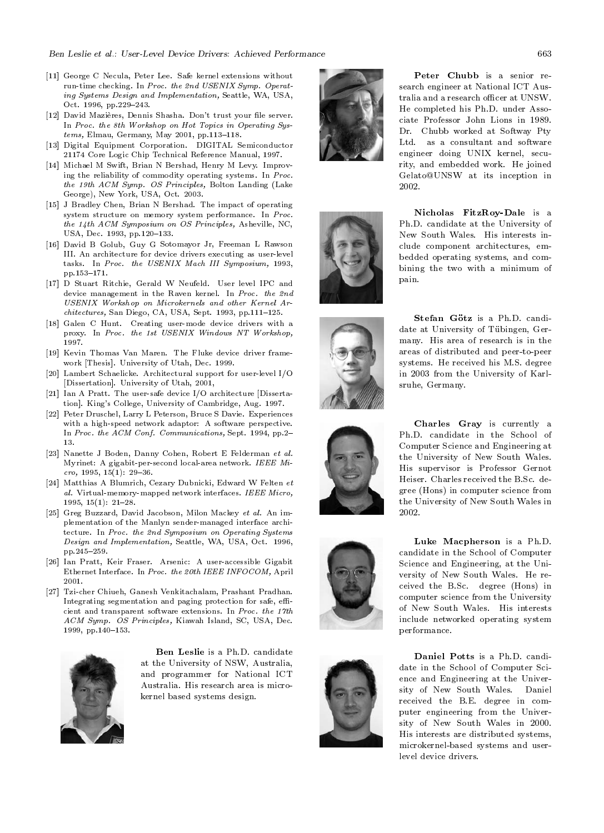- [11] George C Necula, Peter Lee. Safe kernel extensions without run-time checking. In Proc. the 2nd USENIX Symp. Operating Systems Design and Implementation, Seattle, WA, USA, Oct. 1996, pp.229-243.
- [12] David Mazières, Dennis Shasha. Don't trust your file server. In Proc. the 8th Workshop on Hot Topics in Operating Systems, Elmau, Germany, May 2001, pp.113-118.
- Digital Equipment Corporation. DIGITAL Semiconductor  $\vert 13 \vert$ 21174 Core Logic Chip Technical Reference Manual, 1997.
- [14] Michael M Swift, Brian N Bershad, Henry M Levy. Improving the reliability of commodity operating systems. In Proc. the 19th ACM Symp. OS Principles, Bolton Landing (Lake George), New York, USA, Oct. 2003.
- [15] J Bradley Chen, Brian N Bershad. The impact of operating system structure on memory system performance. In Proc. the 14th ACM Symposium on OS Principles, Asheville, NC, USA, Dec. 1993, pp. 120-133.
- [16] David B Golub, Guy G Sotomayor Jr, Freeman L Rawson III. An architecture for device drivers executing as user-level tasks. In Proc. the USENIX Mach III Symposium, 1993, pp.153-171
- [17] D Stuart Ritchie, Gerald W Neufeld. User level IPC and device management in the Raven kernel. In Proc. the 2nd USENIX Workshop on Microkernels and other Kernel Architectures, San Diego, CA, USA, Sept. 1993, pp.111-125.
- [18] Galen C Hunt. Creating user-mode device drivers with a proxy. In Proc. the 1st USENIX Windows NT Workshop, 1997
- [19] Kevin Thomas Van Maren. The Fluke device driver framework [Thesis]. University of Utah, Dec. 1999.
- [20] Lambert Schaelicke. Architectural support for user-level I/O [Dissertation]. University of Utah, 2001,
- [21] Ian A Pratt. The user-safe device I/O architecture [Dissertation]. King's College, University of Cambridge, Aug. 1997.
- [22] Peter Druschel, Larry L Peterson, Bruce S Davie. Experiences with a high-speed network adaptor: A software perspective. In Proc. the ACM Conf. Communications, Sept. 1994, pp.2-13.
- [23] Nanette J Boden, Danny Cohen, Robert E Felderman et al. Myrinet: A gigabit-per-second local-area network. IEEE Mi $cro, 1995, 15(1): 29-36.$
- [24] Matthias A Blumrich, Cezary Dubnicki, Edward W Felten et al. Virtual-memory-mapped network interfaces. IEEE Micro. 1995,  $15(1): 21-28.$
- [25] Greg Buzzard, David Jacobson, Milon Mackey et al. An implementation of the Manlyn sender-managed interface architecture. In Proc. the 2nd Symposium on Operating Systems Design and Implementation, Seattle, WA, USA, Oct. 1996, pp.245-259.
- [26] Ian Pratt, Keir Fraser. Arsenic: A user-accessible Gigabit Ethernet Interface. In Proc. the 20th IEEE INFOCOM, April 2001
- [27] Tzi-cher Chiueh, Ganesh Venkitachalam, Prashant Pradhan. Integrating segmentation and paging protection for safe, efficient and transparent software extensions. In Proc. the 17th ACM Symp. OS Principles, Kiawah Island, SC, USA, Dec. 1999, pp.140-153.



Ben Leslie is a Ph.D. candidate at the University of NSW, Australia, and programmer for National ICT Australia. His research area is microkernel based systems design.













Peter Chubb is a senior research engineer at National ICT Australia and a research officer at UNSW. He completed his Ph.D. under Associate Professor John Lions in 1989. Dr. Chubb worked at Softway Pty Ltd. as a consultant and software engineer doing UNIX kernel, security, and embedded work. He joined Gelato@UNSW at its inception in 2002

Nicholas FitzRoy-Dale is a Ph.D. candidate at the University of New South Wales. His interests include component architectures, embedded operating systems, and combining the two with a minimum of pain.

Stefan Götz is a Ph.D. candidate at University of Tübingen, Germany. His area of research is in the areas of distributed and peer-to-peer systems. He received his M.S. degree in 2003 from the University of Karlsruhe, Germany.

Charles Gray is currently a Ph.D. candidate in the School of Computer Science and Engineering at the University of New South Wales. His supervisor is Professor Gernot Heiser. Charles received the B.Sc. degree (Hons) in computer science from the University of New South Wales in 2002.

Luke Macpherson is a Ph.D. candidate in the School of Computer Science and Engineering, at the University of New South Wales. He received the B.Sc. degree (Hons) in computer science from the University of New South Wales. His interests include networked operating system performance.

Daniel Potts is a Ph.D. candidate in the School of Computer Science and Engineering at the University of New South Wales. Daniel received the B.E. degree in computer engineering from the University of New South Wales in 2000. His interests are distributed systems, microkernel-based systems and userlevel device drivers.